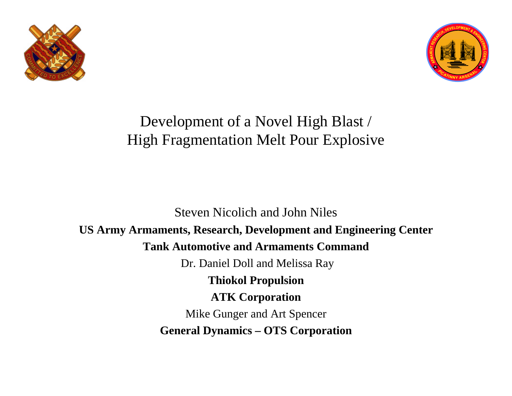



#### Development of a Novel High Blast / High Fragmentation Melt Pour Explosive

Steven Nicolich and John Niles **US Army Armaments, Research, Development and Engineering Center Tank Automotive and Armaments Command** Dr. Daniel Doll and Melissa Ray **Thiokol Propulsion ATK Corporation** Mike Gunger and Art Spencer **General Dynamics – OTS Corporation**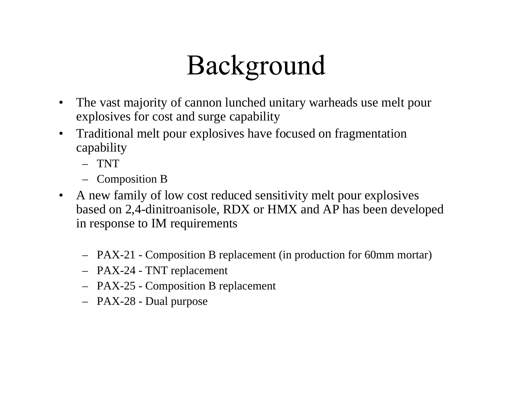# Background

- The vast majority of cannon lunched unitary warheads use melt pour explosives for cost and surge capability
- Traditional melt pour explosives have focused on fragmentation capability
	- TNT
	- Composition B
- A new family of low cost reduced sensitivity melt pour explosives based on 2,4-dinitroanisole, RDX or HMX and AP has been developed in response to IM requirements
	- PAX-21 Composition B replacement (in production for 60mm mortar)
	- PAX-24 TNT replacement
	- PAX-25 Composition B replacement
	- PAX-28 Dual purpose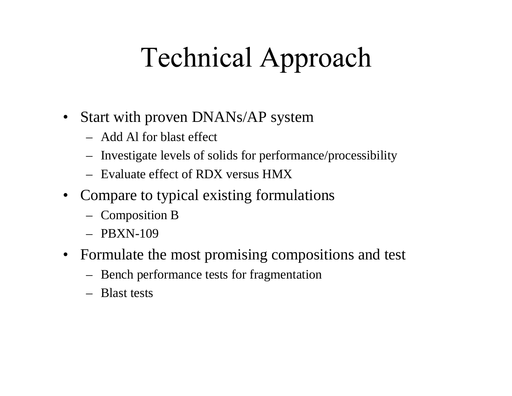# **Technical Approach**

- Start with proven DNANs/AP system
	- Add Al for blast effect
	- Investigate levels of solids for performance/processibility
	- Evaluate effect of RDX versus HMX
- Compare to typical existing formulations
	- Composition B
	- $-$  PBXN-109
- Formulate the most promising compositions and test
	- Bench performance tests for fragmentation
	- Blast tests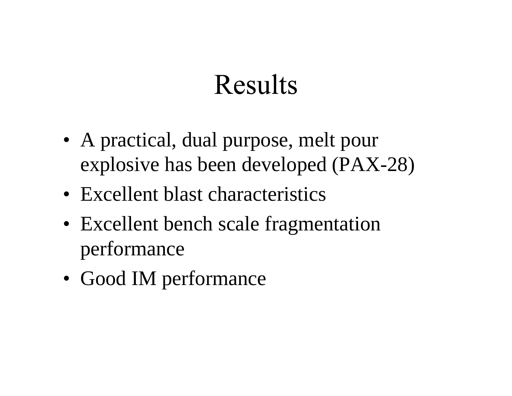### **Results**

- A practical, dual purpose, melt pour explosive has been developed (PAX-28)
- Excellent blast characteristics
- Excellent bench scale fragmentation performance
- Good IM performance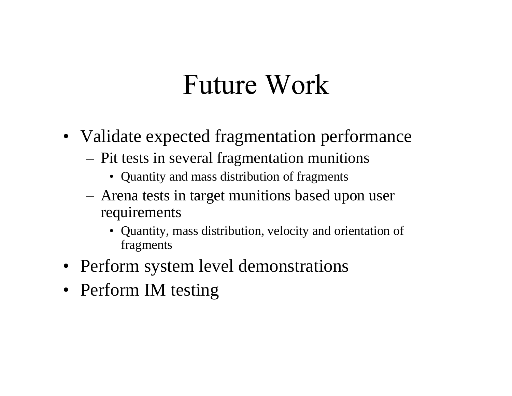### **Future Work**

- Validate expected fragmentation performance
	- Pit tests in several fragmentation munitions
		- Quantity and mass distribution of fragments
	- Arena tests in target munitions based upon user requirements
		- Quantity, mass distribution, velocity and orientation of fragments
- Perform system level demonstrations
- Perform IM testing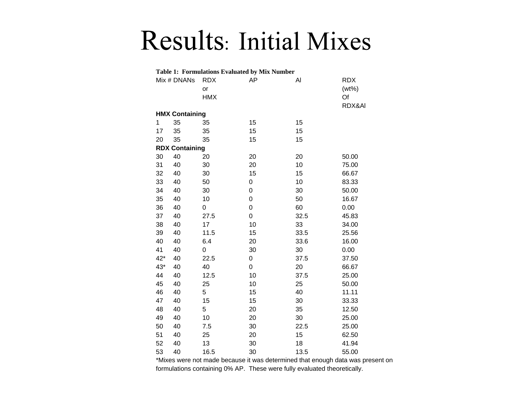#### Results: Initial Mixes

| <b>Table 1: Formulations Evaluated by Mix Number</b> |                       |                                |             |      |                              |
|------------------------------------------------------|-----------------------|--------------------------------|-------------|------|------------------------------|
|                                                      | Mix # DNANs           | <b>RDX</b><br>or<br><b>HMX</b> | AP          | Al   | <b>RDX</b><br>$(wt\%)$<br>Of |
|                                                      |                       |                                |             |      | RDX&AI                       |
|                                                      | <b>HMX Containing</b> |                                |             |      |                              |
| 1                                                    | 35                    | 35                             | 15          | 15   |                              |
| 17                                                   | 35                    | 35                             | 15          | 15   |                              |
| 20                                                   | 35                    | 35                             | 15          | 15   |                              |
|                                                      | <b>RDX Containing</b> |                                |             |      |                              |
| 30                                                   | 40                    | 20                             | 20          | 20   | 50.00                        |
| 31                                                   | 40                    | 30                             | 20          | 10   | 75.00                        |
| 32                                                   | 40                    | 30                             | 15          | 15   | 66.67                        |
| 33                                                   | 40                    | 50                             | 0           | 10   | 83.33                        |
| 34                                                   | 40                    | 30                             | $\mathbf 0$ | 30   | 50.00                        |
| 35                                                   | 40                    | 10                             | 0           | 50   | 16.67                        |
| 36                                                   | 40                    | 0                              | $\mathbf 0$ | 60   | 0.00                         |
| 37                                                   | 40                    | 27.5                           | 0           | 32.5 | 45.83                        |
| 38                                                   | 40                    | 17                             | 10          | 33   | 34.00                        |
| 39                                                   | 40                    | 11.5                           | 15          | 33.5 | 25.56                        |
| 40                                                   | 40                    | 6.4                            | 20          | 33.6 | 16.00                        |
| 41                                                   | 40                    | 0                              | 30          | 30   | 0.00                         |
| $42*$                                                | 40                    | 22.5                           | 0           | 37.5 | 37.50                        |
| 43*                                                  | 40                    | 40                             | $\mathbf 0$ | 20   | 66.67                        |
| 44                                                   | 40                    | 12.5                           | 10          | 37.5 | 25.00                        |
| 45                                                   | 40                    | 25                             | 10          | 25   | 50.00                        |
| 46                                                   | 40                    | 5                              | 15          | 40   | 11.11                        |
| 47                                                   | 40                    | 15                             | 15          | 30   | 33.33                        |
| 48                                                   | 40                    | 5                              | 20          | 35   | 12.50                        |
| 49                                                   | 40                    | 10                             | 20          | 30   | 25.00                        |
| 50                                                   | 40                    | 7.5                            | 30          | 22.5 | 25.00                        |
| 51                                                   | 40                    | 25                             | 20          | 15   | 62.50                        |
| 52                                                   | 40                    | 13                             | 30          | 18   | 41.94                        |
| 53                                                   | 40                    | 16.5                           | 30          | 13.5 | 55.00                        |

\*Mixes were not made because it was determined that enough data was present on formulations containing 0% AP. These were fully evaluated theoretically.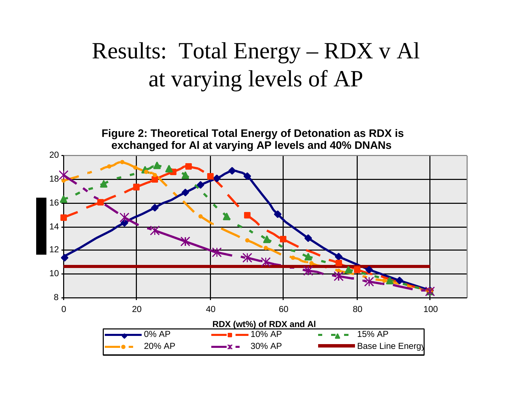#### Results: Total Energy – RDX v Al at varying levels of AP

**Figure 2: Theoretical Total Energy of Detonation as RDX is**  exchanged for AI at varying AP levels and 40% DNANs

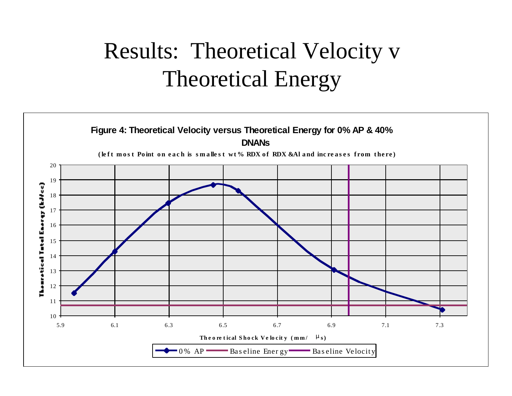#### Results: Theoretical Velocity v Theoretical Energy

#### **Figure 4: Theoretical Velocity versus Theoretical Energy for 0% AP & 40% DNANs**

(left most Point on each is smallest wt% RDX of RDX &Al and increases from there)

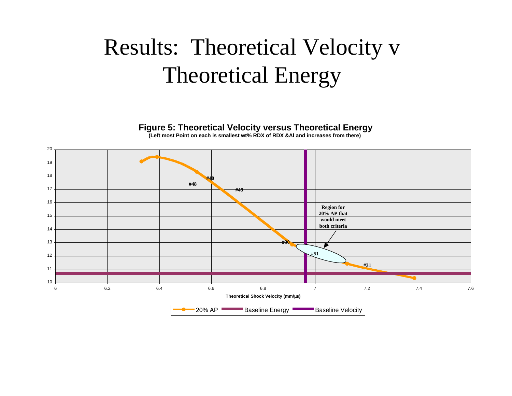#### Results: Theoretical Velocity v Theoretical Energy

**Figure 5: Theoretical Velocity versus Theoretical Energy**

**(Left most Point on each is smallest wt% RDX of RDX &Al and increases from there)**

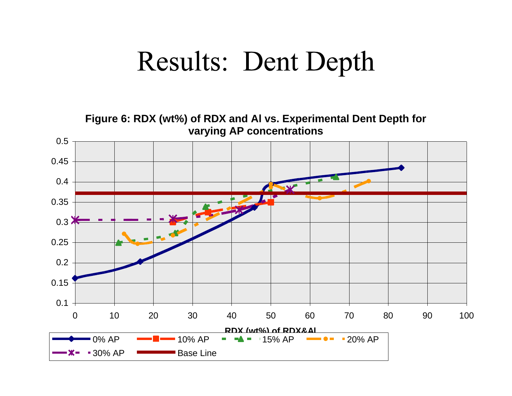### **Results: Dent Depth**

**Figure 6: RDX (wt%) of RDX and Al vs. Experimental Dent Depth for varying AP concentrations** 0.5 0.45 0.4 **ANTISTICATION** 0.35 0.3 0.25 0.2 0.15 0.1 0 10 20 30 40 50 60 70 80 90 100 **RDX (wt%) of RDX&Al** 0% AP  $\bullet$   $\bullet$   $\bullet$  10% AP  $\bullet$   $\bullet$   $\bullet$  15% AP  $\bullet$   $\bullet$   $\bullet$  20% AP **30% AP** Base Line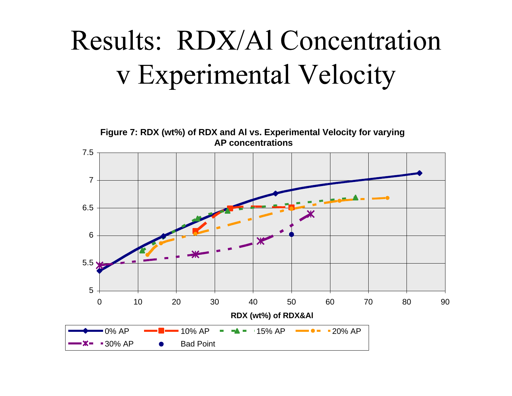# Results: RDX/Al Concentration v Experimental Velocity

**Figure 7: RDX (wt%) of RDX and Al vs. Experimental Velocity for varying AP concentrations**

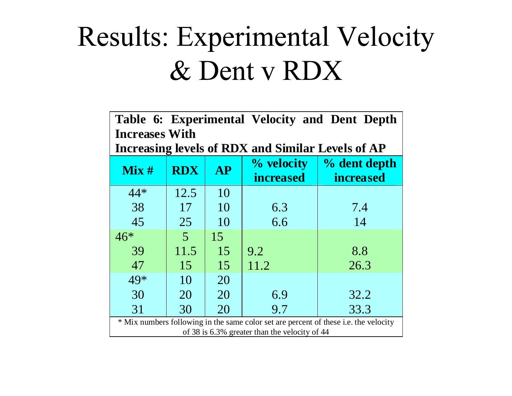## **Results: Experimental Velocity** & Dent v RDX

| Table 6: Experimental Velocity and Dent Depth                                                                                         |                |           |                                |                                  |
|---------------------------------------------------------------------------------------------------------------------------------------|----------------|-----------|--------------------------------|----------------------------------|
| <b>Increases With</b><br>Increasing levels of RDX and Similar Levels of AP                                                            |                |           |                                |                                  |
| Mix#                                                                                                                                  | <b>RDX</b>     | <b>AP</b> | % velocity<br><i>increased</i> | % dent depth<br><i>increased</i> |
| $44*$                                                                                                                                 | 12.5           | 10        |                                |                                  |
| 38                                                                                                                                    | 17             | 10        | 6.3                            | 7.4                              |
| 45                                                                                                                                    | 25             | 10        | 6.6                            | 14                               |
| $46*$                                                                                                                                 | $\overline{5}$ | 15        |                                |                                  |
| 39                                                                                                                                    | 11.5           | 15        | 9.2                            | 8.8                              |
| 47                                                                                                                                    | 15             | 15        | 11.2                           | 26.3                             |
| 49*                                                                                                                                   | 10             | 20        |                                |                                  |
| 30                                                                                                                                    | 20             | 20        | 6.9                            | 32.2                             |
| 31                                                                                                                                    | 30             | 20        | 9.7                            | 33.3                             |
| * Mix numbers following in the same color set are percent of these i.e. the velocity<br>of 38 is 6.3% greater than the velocity of 44 |                |           |                                |                                  |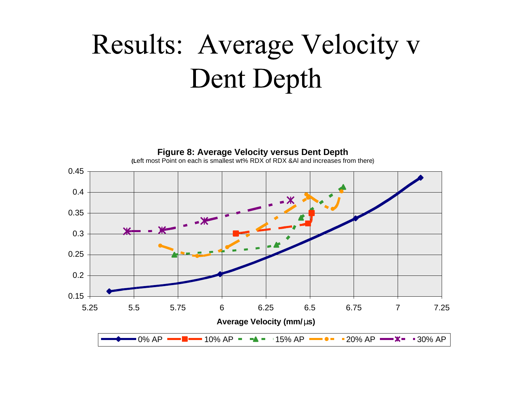# Results: Average Velocity v Dent Depth

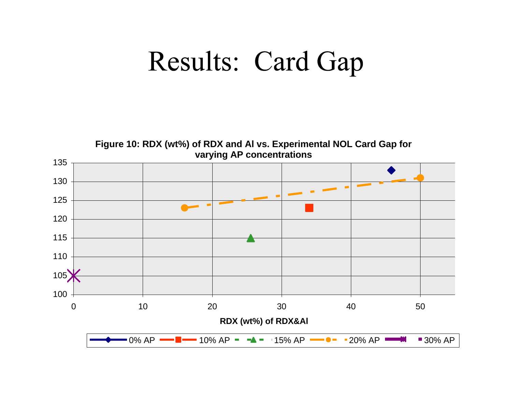### Results: Card Gap

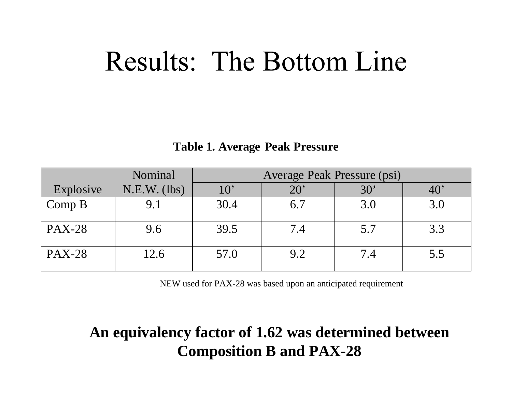### **Results: The Bottom Line**

#### **Table 1. Average Peak Pressure**

|               | Nominal        |      | Average Peak Pressure (psi) |              |     |
|---------------|----------------|------|-----------------------------|--------------|-----|
| Explosive     | $N.E.W.$ (lbs) | 10'  | $20^{\circ}$                | $30^{\circ}$ | 40  |
| Comp B        | 9.1            | 30.4 | 6.7                         | 3.0          | 3.0 |
| <b>PAX-28</b> | 9.6            | 39.5 | 7.4                         | 5.7          | 3.3 |
| <b>PAX-28</b> | 12.6           | 57.0 | 9.2                         | 7.4          | 5.5 |

NEW used for PAX-28 was based upon an anticipated requirement

#### **An equivalency factor of 1.62 was determined between Composition B and PAX-28**